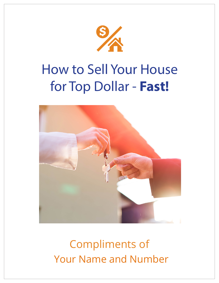

# How to Sell Your House for Top Dollar - **Fast!**



## Compliments of Compliments of Your Name and Number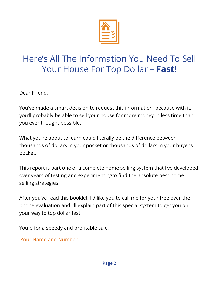

### $\frac{1}{1-\epsilon}$  All The Information  $\epsilon$ Your House For Top Dollar – **Fast!** Here's All The Information You Need To Sell Your House For Top Dollar – **Fast!**

You've made a smart decision to request this information, Dear Friend,

because with it, you'll probably be able to sell your house rou ve made a smart decision to request this information, because with it,<br>you'll probably be able to sell your house for more money in less time than possible. you ever thought possible. You've made a smart decision to request this information, because with it,

What you're about to learn could literally be the difference What you're about to learn could literally be the difference between thousands of dollars in your pocket or thousands of dollars in your buyer's  $\epsilon$  dollars in  $\epsilon$  dollars in  $\epsilon$  pocket. pocket.

This report is part one of a complete home selling system This report is part one of a complete home selling system that I've developed over years of testing and experimentingto find the absolute best home to find the absolute best home selling strategies. selling strategies.

After you've read this booklet, I'd like you to call me for your After you've read this booklet, I'd like you to call me for your free over-thefree over-the-phone evaluation and I'll explain part of this phone evaluation and I'll explain part of this special system to get you on your way to top dollar fast!

ard for a speedy and profitable sale, Yours for a speedy and profitable sale,

and Name and Name Your Name and Number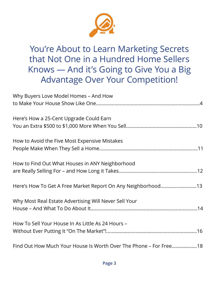

You're About to Learn Marketing Secrets You're About to Learn Marketing Secrets that Not One in a Hundred Home Sellers that Not One in a Hundred Home Sellers Knows — And it's Going to Give You a Big Knows — And it's Going to Give You a Big Advantage Over Your Competition! Advantage Over Your Competition!

| Why Buyers Love Model Homes - And How                             |
|-------------------------------------------------------------------|
|                                                                   |
| Here's How a 25-Cent Upgrade Could Earn                           |
|                                                                   |
| How to Avoid the Five Most Expensive Mistakes                     |
|                                                                   |
| How to Find Out What Houses in ANY Neighborhood                   |
|                                                                   |
| Here's How To Get A Free Market Report On Any Neighborhood13      |
| Why Most Real Estate Advertising Will Never Sell Your             |
|                                                                   |
| How To Sell Your House In As Little As 24 Hours -                 |
|                                                                   |
| Find Out How Much Your House Is Worth Over The Phone – For Free18 |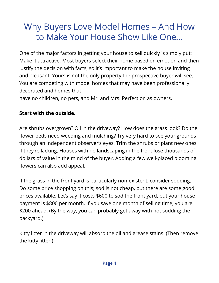## Why Buyers Love Model Homes – And How to Make Your House Show Like One…

One of the major factors in getting your house to sell quickly is simply put: Make it attractive. Most buyers select their home based on emotion and then justify the decision with facts, so it's important to make the house inviting and pleasant. Yours is not the only property the prospective buyer will see. You are competing with model homes that may have been professionally decorated and homes that

have no children, no pets, and Mr. and Mrs. Perfection as owners.

#### **Start with the outside.**

Are shrubs overgrown? Oil in the driveway? How does the grass look? Do the flower beds need weeding and mulching? Try very hard to see your grounds through an independent observer's eyes. Trim the shrubs or plant new ones if they're lacking. Houses with no landscaping in the front lose thousands of dollars of value in the mind of the buyer. Adding a few well-placed blooming flowers can also add appeal.

If the grass in the front yard is particularly non-existent, consider sodding. Do some price shopping on this; sod is not cheap, but there are some good prices available. Let's say it costs \$600 to sod the front yard, but your house payment is \$800 per month. If you save one month of selling time, you are \$200 ahead. (By the way, you can probably get away with not sodding the backyard.)

Kitty litter in the driveway will absorb the oil and grease stains. (Then remove the kitty litter.)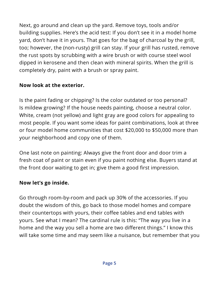Next, go around and clean up the yard. Remove toys, tools and/or building supplies. Here's the acid test: If you don't see it in a model home yard, don't have it in yours. That goes for the bag of charcoal by the grill, too; however, the (non-rusty) grill can stay. If your grill has rusted, remove the rust spots by scrubbing with a wire brush or with course steel wool dipped in kerosene and then clean with mineral spirits. When the grill is completely dry, paint with a brush or spray paint.

### **Now look at the exterior.**

Is the paint fading or chipping? Is the color outdated or too personal? Is mildew growing? If the house needs painting, choose a neutral color. White, cream (not yellow) and light gray are good colors for appealing to most people. If you want some ideas for paint combinations, look at three or four model home communities that cost \$20,000 to \$50,000 more than your neighborhood and copy one of them.

One last note on painting: Always give the front door and door trim a fresh coat of paint or stain even if you paint nothing else. Buyers stand at the front door waiting to get in; give them a good first impression.

### **Now let's go inside.**

Go through room-by-room and pack up 30% of the accessories. If you doubt the wisdom of this, go back to those model homes and compare their countertops with yours, their coffee tables and end tables with yours. See what I mean? The cardinal rule is this: "The way you live in a home and the way you sell a home are two different things." I know this will take some time and may seem like a nuisance, but remember that you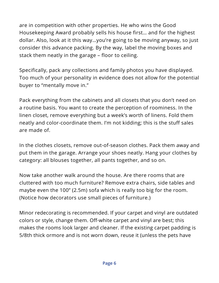are in competition with other properties. He who wins the Good Housekeeping Award probably sells his house first… and for the highest dollar. Also, look at it this way…you're going to be moving anyway, so just consider this advance packing. By the way, label the moving boxes and stack them neatly in the garage – floor to ceiling.

Specifically, pack any collections and family photos you have displayed. Too much of your personality in evidence does not allow for the potential buyer to "mentally move in."

Pack everything from the cabinets and all closets that you don't need on a routine basis. You want to create the perception of roominess. In the linen closet, remove everything but a week's worth of linens. Fold them neatly and color-coordinate them. I'm not kidding; this is the stuff sales are made of.

In the clothes closets, remove out-of-season clothes. Pack them away and put them in the garage. Arrange your shoes neatly. Hang your clothes by category: all blouses together, all pants together, and so on.

Now take another walk around the house. Are there rooms that are cluttered with too much furniture? Remove extra chairs, side tables and maybe even the 100" (2.5m) sofa which is really too big for the room. (Notice how decorators use small pieces of furniture.)

Minor redecorating is recommended. If your carpet and vinyl are outdated colors or style, change them. Off-white carpet and vinyl are best; this makes the rooms look larger and cleaner. If the existing carpet padding is 5/8th thick ormore and is not worn down, reuse it (unless the pets have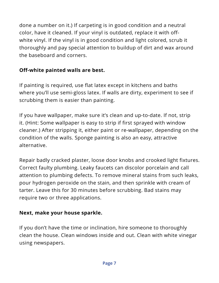done a number on it.) If carpeting is in good condition and a neutral color, have it cleaned. If your vinyl is outdated, replace it with offwhite vinyl. If the vinyl is in good condition and light colored, scrub it thoroughly and pay special attention to buildup of dirt and wax around the baseboard and corners.

### **Off-white painted walls are best.**

If painting is required, use flat latex except in kitchens and baths where you'll use semi-gloss latex. If walls are dirty, experiment to see if scrubbing them is easier than painting.

If you have wallpaper, make sure it's clean and up-to-date. If not, strip it. (Hint: Some wallpaper is easy to strip if first sprayed with window cleaner.) After stripping it, either paint or re-wallpaper, depending on the condition of the walls. Sponge painting is also an easy, attractive alternative.

Repair badly cracked plaster, loose door knobs and crooked light fixtures. Correct faulty plumbing. Leaky faucets can discolor porcelain and call attention to plumbing defects. To remove mineral stains from such leaks, pour hydrogen peroxide on the stain, and then sprinkle with cream of tarter. Leave this for 30 minutes before scrubbing. Bad stains may require two or three applications.

### **Next, make your house sparkle.**

If you don't have the time or inclination, hire someone to thoroughly clean the house. Clean windows inside and out. Clean with white vinegar using newspapers.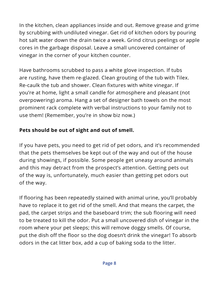In the kitchen, clean appliances inside and out. Remove grease and grime by scrubbing with undiluted vinegar. Get rid of kitchen odors by pouring hot salt water down the drain twice a week. Grind citrus peelings or apple cores in the garbage disposal. Leave a small uncovered container of vinegar in the corner of your kitchen counter.

Have bathrooms scrubbed to pass a white glove inspection. If tubs are rusting, have them re-glazed. Clean grouting of the tub with Tilex. Re-caulk the tub and shower. Clean fixtures with white vinegar. If you're at home, light a small candle for atmosphere and pleasant (not overpowering) aroma. Hang a set of designer bath towels on the most prominent rack complete with verbal instructions to your family not to use them! (Remember, you're in show biz now.)

### **Pets should be out of sight and out of smell.**

If you have pets, you need to get rid of pet odors, and it's recommended that the pets themselves be kept out of the way and out of the house during showings, if possible. Some people get uneasy around animals and this may detract from the prospect's attention. Getting pets out of the way is, unfortunately, much easier than getting pet odors out of the way.

If flooring has been repeatedly stained with animal urine, you'll probably have to replace it to get rid of the smell. And that means the carpet, the pad, the carpet strips and the baseboard trim; the sub flooring will need to be treated to kill the odor. Put a small uncovered dish of vinegar in the room where your pet sleeps; this will remove doggy smells. Of course, put the dish off the floor so the dog doesn't drink the vinegar! To absorb odors in the cat litter box, add a cup of baking soda to the litter.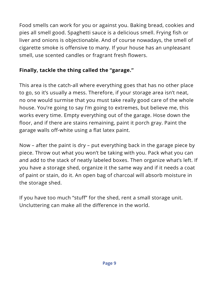Food smells can work for you or against you. Baking bread, cookies and pies all smell good. Spaghetti sauce is a delicious smell. Frying fish or liver and onions is objectionable. And of course nowadays, the smell of cigarette smoke is offensive to many. If your house has an unpleasant smell, use scented candles or fragrant fresh flowers.

### **Finally, tackle the thing called the "garage."**

This area is the catch-all where everything goes that has no other place to go, so it's usually a mess. Therefore, if your storage area isn't neat, no one would surmise that you must take really good care of the whole house. You're going to say I'm going to extremes, but believe me, this works every time. Empty everything out of the garage. Hose down the floor, and if there are stains remaining, paint it porch gray. Paint the garage walls off-white using a flat latex paint.

Now – after the paint is dry – put everything back in the garage piece by piece. Throw out what you won't be taking with you. Pack what you can and add to the stack of neatly labeled boxes. Then organize what's left. If you have a storage shed, organize it the same way and if it needs a coat of paint or stain, do it. An open bag of charcoal will absorb moisture in the storage shed.

If you have too much "stuff" for the shed, rent a small storage unit. Uncluttering can make all the difference in the world.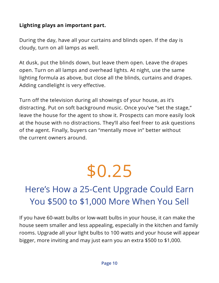### **Lighting plays an important part.**

During the day, have all your curtains and blinds open. If the day is cloudy, turn on all lamps as well.

At dusk, put the blinds down, but leave them open. Leave the drapes open. Turn on all lamps and overhead lights. At night, use the same lighting formula as above, but close all the blinds, curtains and drapes. Adding candlelight is very effective.

Turn off the television during all showings of your house, as it's distracting. Put on soft background music. Once you've "set the stage," leave the house for the agent to show it. Prospects can more easily look at the house with no distractions. They'll also feel freer to ask questions of the agent. Finally, buyers can "mentally move in" better without the current owners around.

# \$0.25

## Here's How a 25-Cent Upgrade Could Earn You \$500 to \$1,000 More When You Sell

If you have 60-watt bulbs or low-watt bulbs in your house, it can make the house seem smaller and less appealing, especially in the kitchen and family rooms. Upgrade all your light bulbs to 100 watts and your house will appear bigger, more inviting and may just earn you an extra \$500 to \$1,000.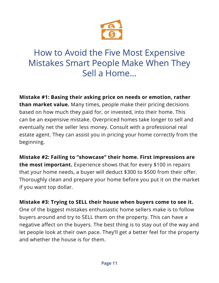

### How to Avoid the Five Most Expensive Mistakes Smart People Make When They Mistakes Smart People Make When They Sell a Home… Sell a Home… How to Avoid the Five Most Expensive

**Mistake #1: Basing their asking price on needs or emotion, rather** than market value. Many times, people make their pricing decisions based on how much they paid for, or invested, into their home. This can be an expensive mistake. Overpriced homes take longer to sell and eventually net the seller less money. Consult with a professional real estate agent. They can assist you in pricing your home correctly from the  $m$ nning. beginning.

**Mistake #2: Failing to "showcase" their home.** First **Mistake #2: Failing to "showcase" their home. First impressions are**   $\frac{1}{2}$  in the most important. Experience shows that for every  $\frac{1}{4}$  for intepants that your home needs, a buyer will deduct 4500 to 4500 from their oner:<br>Thoroughly clean and prepare your home before you put it on the market deduct \$300 from the property can are to see party of the and and the<br>if you want top dollar. prepare your home before your home before your home before your home before your home before you put it on the **the most important.** Experience shows that for every \$100 in repairs that your home needs, a buyer will deduct \$300 to \$500 from their offer.

Mistake #3: Trying to SELL their house when buyers come to see it. buyers around and try to SELL them on the property. This can have a negative affect on the buyers. The best thing is to stay out of the way and let people look at their own pace. They'll get a better feel for the property and whether the house is for them.  $\blacksquare$ One of the biggest mistakes enthusiastic home sellers make is to follow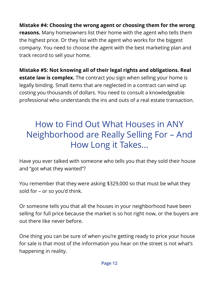**Mistake #4: Choosing the wrong agent or choosing them for the wrong reasons.** Many homeowners list their home with the agent who tells them the highest price. Or they list with the agent who works for the biggest company. You need to choose the agent with the best marketing plan and track record to sell your home.

**Mistake #5: Not knowing all of their legal rights and obligations. Real estate law is complex.** The contract you sign when selling your home is legally binding. Small items that are neglected in a contract can wind up costing you thousands of dollars. You need to consult a knowledgeable professional who understands the ins and outs of a real estate transaction.

## How to Find Out What Houses in ANY Neighborhood are Really Selling For – And How Long it Takes…

Have you ever talked with someone who tells you that they sold their house and "got what they wanted"?

You remember that they were asking \$329,000 so that must be what they sold for – or so you'd think.

Or someone tells you that all the houses in your neighborhood have been selling for full price because the market is so hot right now, or the buyers are out there like never before.

One thing you can be sure of when you're getting ready to price your house for sale is that most of the information you hear on the street is not what's happening in reality.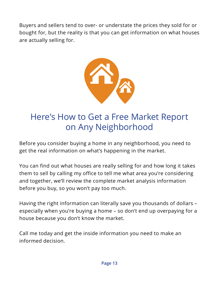Buyers and sellers tend to over- or understate the prices they sold for or bought for, but the reality is that you can get information on what houses are actually selling for. The reality is the reality is the reality is that  $\mathcal{S}$ any selling formation on what houses are actually selling for  $\alpha$ 



## Here's How to Get a Free Market Report Here's How to Get a Free Market Report on Any Neighborhood on Any Neighborhood

Before you consider buying a home in any neighborhood, you need to get the real information on what's happening in the market. Before you consider buying a home in any neighborhood, you consider buying a nome in any neighborhood, you need i car mnormatik

You can find out what houses are really selling for and how long it takes You can find out what houses are really selling for and how them to sell by calling my office to tell me what area you're considering and together, we'll review the complete market analysis information before you buy, so you won't pay too much.

Having the right information can literally save you thousands of dollars – especially when you're buying a home – so don't end up overpaying for a house because you don't know the market.

Call me today and get the inside information you need to make an informed decision.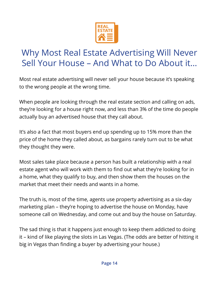

## Why Most Real Estate Advertising Will Never Why Most Real Estate Advertising Will Never Sell Your House – And What to Do About it… Sell Your House – And What to Do About it…

Most real estate advertising will never sell your house Most real estate advertising will never sell your house because it's speaking to the wrong people at the wrong time.

When people are looking through the real estate section they're looking for a house right now, and less than 3% of the time do people actually buy an advertised house that they call about. When people are looking through the real estate section and calling on ads,

and a second that is not buy are and we accepted as the 15% requests as also a fact that most bayers chd ap spending ap to 15% more than the<br>price of the home they called about, as bargains rarely turn out to be what It is also a fact that most buyers end up to  $\mathcal{L}$ It's also a fact that most buyers end up spending up to 15% more than the they thought they were.

Most sales take place because a person has built a relationship with a real estate agent who will work with them to find out what they're looking for in market that meet their needs and wants in a home. a home, what they qualify to buy, and then show them the houses on the

The truth is, most of the time, agents use property advertising as a six-day marketing plan – they're hoping to advertise the house on Monday, have someone call on Wednesday, and come out and buy the house on Saturday.

The truth is, most of the time, agents use property The sad thing is that it happens just enough to keep them addicted to doing it – kind of like playing the slots in Las Vegas. (The odds are better of hitting it<br>his is Vesses these fiestings the seek and setting as a slot see Y big in Vegas than finding a buyer by advertising your house.)<br>.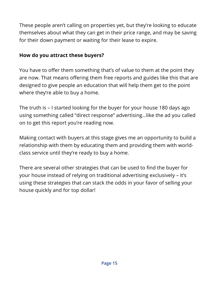These people aren't calling on properties yet, but they're looking to educate themselves about what they can get in their price range, and may be saving for their down payment or waiting for their lease to expire.

### **How do you attract these buyers?**

You have to offer them something that's of value to them at the point they are now. That means offering them free reports and guides like this that are designed to give people an education that will help them get to the point where they're able to buy a home.

The truth is – I started looking for the buyer for your house 180 days ago using something called "direct response" advertising…like the ad you called on to get this report you're reading now.

Making contact with buyers at this stage gives me an opportunity to build a relationship with them by educating them and providing them with worldclass service until they're ready to buy a home.

There are several other strategies that can be used to find the buyer for your house instead of relying on traditional advertising exclusively – it's using these strategies that can stack the odds in your favor of selling your house quickly and for top dollar!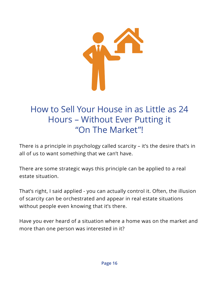

## How to Sell Your House in as Little as 24 How to Sell Your House in as Little as 24 Hours – Without Ever Putting it Hours – Without Ever Putting it "On The Market"! "On The Market"!

There is a principle in psychology called scarcity – it's the desire that's in There is a principle in psychology called scarcity – it's the all of us to want something that we can't have.

There are some strategic ways this principle can be applied to a real estate situation.  $T$ 

That's right, I said applied - you can actually control it. Often, the illusion of scarcity can be orchestrated and appear in real estate situations without people even knowing that it's there. Often, the illusion of scarcity can be orchestrated and

Have you ever heard of a situation where a home was on the market and more than one person was interested in it? appear in real of a cituation where a home was en the m knowing that it is the internet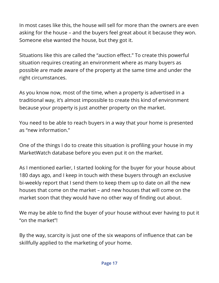In most cases like this, the house will sell for more than the owners are even asking for the house – and the buyers feel great about it because they won. Someone else wanted the house, but they got it.

Situations like this are called the "auction effect." To create this powerful situation requires creating an environment where as many buyers as possible are made aware of the property at the same time and under the right circumstances.

As you know now, most of the time, when a property is advertised in a traditional way, it's almost impossible to create this kind of environment because your property is just another property on the market.

You need to be able to reach buyers in a way that your home is presented as "new information."

One of the things I do to create this situation is profiling your house in my MarketWatch database before you even put it on the market.

As I mentioned earlier, I started looking for the buyer for your house about 180 days ago, and I keep in touch with these buyers through an exclusive bi-weekly report that I send them to keep them up to date on all the new houses that come on the market – and new houses that will come on the market soon that they would have no other way of finding out about.

We may be able to find the buyer of your house without ever having to put it "on the market"!

By the way, scarcity is just one of the six weapons of influence that can be skillfully applied to the marketing of your home.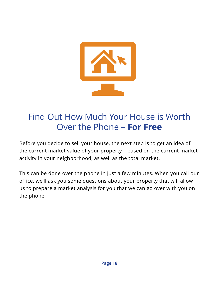

## Find Out How Much Your House is Worth Find Out How Much Your House is Worth Over the Phone – **For Free** Over the Phone – **For Free**

Before you decide to sell your house, the next step is to get an idea of Before you decide to sell your house, the next step is to get the current market value of your property – based on the current market activity in your neighborhood, as well as the total market.

This can be done over the phone in just a few minutes. When you call our office, we'll ask you some questions about your property that will allow office. us to prepare a market analysis for you that we can go over with you on the phone. as well as the total market.  $P<sub>1</sub>$  you call  $P<sub>2</sub>$  as well as well as well as well as  $P<sub>3</sub>$  you so we want the some questions of  $P<sub>4</sub>$  and  $P<sub>5</sub>$  are  $P<sub>6</sub>$  and  $P<sub>7</sub>$  and  $P<sub>8</sub>$  are  $P<sub>7</sub>$  and  $P<sub>8</sub>$  are  $P$